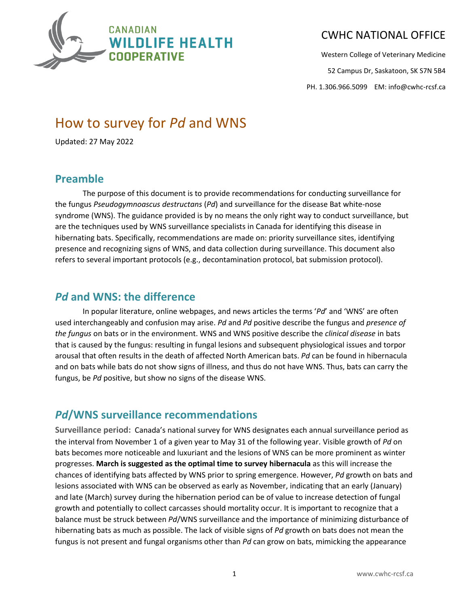

Western College of Veterinary Medicine

52 Campus Dr, Saskatoon, SK S7N 5B4

PH. 1.306.966.5099 EM: info@cwhc-rcsf.ca

# How to survey for *Pd* and WNS

Updated: 27 May 2022

#### **Preamble**

The purpose of this document is to provide recommendations for conducting surveillance for the fungus *Pseudogymnoascus destructans* (*Pd*) and surveillance for the disease Bat white-nose syndrome (WNS). The guidance provided is by no means the only right way to conduct surveillance, but are the techniques used by WNS surveillance specialists in Canada for identifying this disease in hibernating bats. Specifically, recommendations are made on: priority surveillance sites, identifying presence and recognizing signs of WNS, and data collection during surveillance. This document also refers to several important protocols (e.g., decontamination protocol, bat submission protocol).

#### *Pd* **and WNS: the difference**

In popular literature, online webpages, and news articles the terms '*Pd*' and 'WNS' are often used interchangeably and confusion may arise. *Pd* and *Pd* positive describe the fungus and *presence of the fungus* on bats or in the environment. WNS and WNS positive describe the *clinical disease* in bats that is caused by the fungus: resulting in fungal lesions and subsequent physiological issues and torpor arousal that often results in the death of affected North American bats. *Pd* can be found in hibernacula and on bats while bats do not show signs of illness, and thus do not have WNS. Thus, bats can carry the fungus, be *Pd* positive, but show no signs of the disease WNS.

## *Pd***/WNS surveillance recommendations**

**Surveillance period:** Canada's national survey for WNS designates each annual surveillance period as the interval from November 1 of a given year to May 31 of the following year. Visible growth of *Pd* on bats becomes more noticeable and luxuriant and the lesions of WNS can be more prominent as winter progresses. **March is suggested as the optimal time to survey hibernacula** as this will increase the chances of identifying bats affected by WNS prior to spring emergence. However, *Pd* growth on bats and lesions associated with WNS can be observed as early as November, indicating that an early (January) and late (March) survey during the hibernation period can be of value to increase detection of fungal growth and potentially to collect carcasses should mortality occur. It is important to recognize that a balance must be struck between *Pd*/WNS surveillance and the importance of minimizing disturbance of hibernating bats as much as possible. The lack of visible signs of *Pd* growth on bats does not mean the fungus is not present and fungal organisms other than *Pd* can grow on bats, mimicking the appearance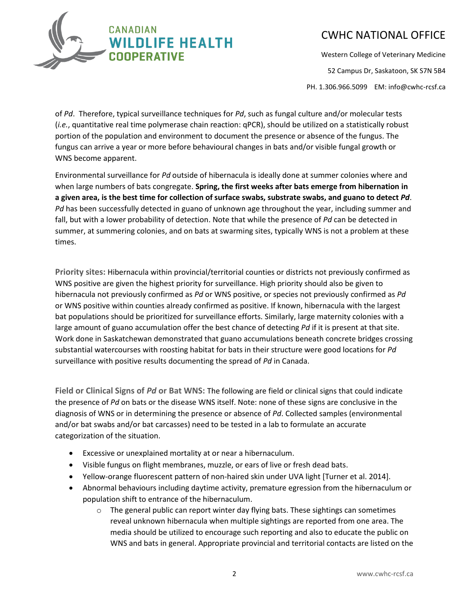

Western College of Veterinary Medicine

52 Campus Dr, Saskatoon, SK S7N 5B4

PH. 1.306.966.5099 EM: info@cwhc-rcsf.ca

of *Pd*. Therefore, typical surveillance techniques for *Pd*, such as fungal culture and/or molecular tests (*i.e.*, quantitative real time polymerase chain reaction: qPCR), should be utilized on a statistically robust portion of the population and environment to document the presence or absence of the fungus. The fungus can arrive a year or more before behavioural changes in bats and/or visible fungal growth or WNS become apparent.

Environmental surveillance for *Pd* outside of hibernacula is ideally done at summer colonies where and when large numbers of bats congregate. **Spring, the first weeks after bats emerge from hibernation in a given area, is the best time for collection of surface swabs, substrate swabs, and guano to detect** *Pd*. *Pd* has been successfully detected in guano of unknown age throughout the year, including summer and fall, but with a lower probability of detection. Note that while the presence of *Pd* can be detected in summer, at summering colonies, and on bats at swarming sites, typically WNS is not a problem at these times.

**Priority sites:** Hibernacula within provincial/territorial counties or districts not previously confirmed as WNS positive are given the highest priority for surveillance. High priority should also be given to hibernacula not previously confirmed as *Pd* or WNS positive, or species not previously confirmed as *Pd* or WNS positive within counties already confirmed as positive. If known, hibernacula with the largest bat populations should be prioritized for surveillance efforts. Similarly, large maternity colonies with a large amount of guano accumulation offer the best chance of detecting *Pd* if it is present at that site. Work done in Saskatchewan demonstrated that guano accumulations beneath concrete bridges crossing substantial watercourses with roosting habitat for bats in their structure were good locations for *Pd*  surveillance with positive results documenting the spread of *Pd* in Canada.

**Field or Clinical Signs of** *Pd* **or Bat WNS:** The following are field or clinical signs that could indicate the presence of *Pd* on bats or the disease WNS itself. Note: none of these signs are conclusive in the diagnosis of WNS or in determining the presence or absence of *Pd*. Collected samples (environmental and/or bat swabs and/or bat carcasses) need to be tested in a lab to formulate an accurate categorization of the situation.

- Excessive or unexplained mortality at or near a hibernaculum.
- Visible fungus on flight membranes, muzzle, or ears of live or fresh dead bats.
- Yellow-orange fluorescent pattern of non-haired skin under UVA light [Turner et al. 2014].
- Abnormal behaviours including daytime activity, premature egression from the hibernaculum or population shift to entrance of the hibernaculum.
	- $\circ$  The general public can report winter day flying bats. These sightings can sometimes reveal unknown hibernacula when multiple sightings are reported from one area. The media should be utilized to encourage such reporting and also to educate the public on WNS and bats in general. Appropriate provincial and territorial contacts are listed on the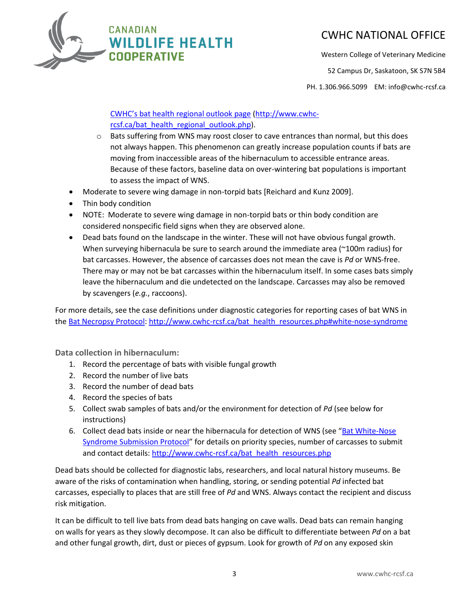

Western College of Veterinary Medicine

52 Campus Dr, Saskatoon, SK S7N 5B4

PH. 1.306.966.5099 EM: info@cwhc-rcsf.ca

#### [CWHC's bat health regional outlook page](http://www.cwhc-rcsf.ca/bat_health_regional_outlook.php) [\(http://www.cwhc](http://www.cwhc-rcsf.ca/bat_health_regional_outlook.php)[rcsf.ca/bat\\_health\\_regional\\_outlook.php\)](http://www.cwhc-rcsf.ca/bat_health_regional_outlook.php).

- $\circ$  Bats suffering from WNS may roost closer to cave entrances than normal, but this does not always happen. This phenomenon can greatly increase population counts if bats are moving from inaccessible areas of the hibernaculum to accessible entrance areas. Because of these factors, baseline data on over-wintering bat populations is important to assess the impact of WNS.
- Moderate to severe wing damage in non-torpid bats [Reichard and Kunz 2009].
- Thin body condition
- NOTE: Moderate to severe wing damage in non-torpid bats or thin body condition are considered nonspecific field signs when they are observed alone.
- Dead bats found on the landscape in the winter. These will not have obvious fungal growth. When surveying hibernacula be sure to search around the immediate area (~100m radius) for bat carcasses. However, the absence of carcasses does not mean the cave is *Pd* or WNS-free. There may or may not be bat carcasses within the hibernaculum itself. In some cases bats simply leave the hibernaculum and die undetected on the landscape. Carcasses may also be removed by scavengers (*e.g.*, raccoons).

For more details, see the case definitions under diagnostic categories for reporting cases of bat WNS in th[e Bat Necropsy Protocol:](http://www.cwhc-rcsf.ca/docs/Canadian%20Bat%20WNS%20Necropsy%20Protocol.pdf) [http://www.cwhc-rcsf.ca/bat\\_health\\_resources.php#white-nose-syndrome](http://www.cwhc-rcsf.ca/bat_health_resources.php#white-nose-syndrome)

**Data collection in hibernaculum:**

- 1. Record the percentage of bats with visible fungal growth
- 2. Record the number of live bats
- 3. Record the number of dead bats
- 4. Record the species of bats
- 5. Collect swab samples of bats and/or the environment for detection of *Pd* (see below for instructions)
- 6. Collect dead bats inside or near the hibernacula for detection of WNS (see "Bat White-Nose" [Syndrome Submission Protocol](http://www.cwhc-rcsf.ca/docs/Canadian%20Bat%20WNS%20Necropsy%20Protocol.pdf)" for details on priority species, number of carcasses to submit and contact details: [http://www.cwhc-rcsf.ca/bat\\_health\\_resources.php](http://www.cwhc-rcsf.ca/bat_health_resources.php)

Dead bats should be collected for diagnostic labs, researchers, and local natural history museums. Be aware of the risks of contamination when handling, storing, or sending potential *Pd* infected bat carcasses, especially to places that are still free of *Pd* and WNS. Always contact the recipient and discuss risk mitigation.

It can be difficult to tell live bats from dead bats hanging on cave walls. Dead bats can remain hanging on walls for years as they slowly decompose. It can also be difficult to differentiate between *Pd* on a bat and other fungal growth, dirt, dust or pieces of gypsum. Look for growth of *Pd* on any exposed skin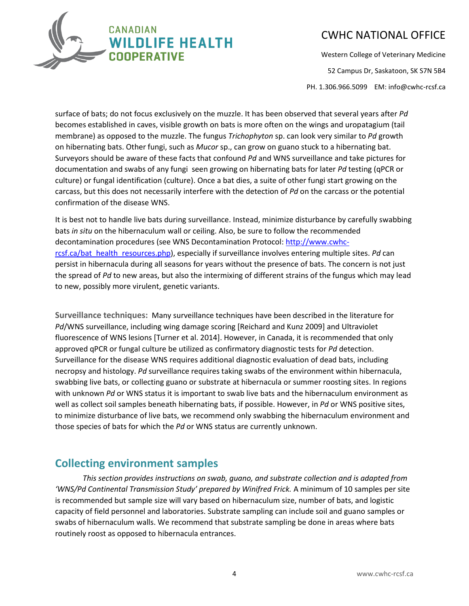

Western College of Veterinary Medicine

52 Campus Dr, Saskatoon, SK S7N 5B4

PH. 1.306.966.5099 EM: info@cwhc-rcsf.ca

surface of bats; do not focus exclusively on the muzzle. It has been observed that several years after *Pd*  becomes established in caves, visible growth on bats is more often on the wings and uropatagium (tail membrane) as opposed to the muzzle. The fungus *Trichophyton* sp. can look very similar to *Pd* growth on hibernating bats. Other fungi, such as *Mucor* sp., can grow on guano stuck to a hibernating bat. Surveyors should be aware of these facts that confound *Pd* and WNS surveillance and take pictures for documentation and swabs of any fungi seen growing on hibernating bats for later *Pd* testing (qPCR or culture) or fungal identification (culture). Once a bat dies, a suite of other fungi start growing on the carcass, but this does not necessarily interfere with the detection of *Pd* on the carcass or the potential confirmation of the disease WNS.

It is best not to handle live bats during surveillance. Instead, minimize disturbance by carefully swabbing bats *in situ* on the hibernaculum wall or ceiling. Also, be sure to follow the recommended decontamination procedures (see WNS Decontamination Protocol: [http://www.cwhc](http://www.cwhc-rcsf.ca/bat_health_resources.php)[rcsf.ca/bat\\_health\\_resources.php\)](http://www.cwhc-rcsf.ca/bat_health_resources.php), especially if surveillance involves entering multiple sites. *Pd* can persist in hibernacula during all seasons for years without the presence of bats. The concern is not just the spread of *Pd* to new areas, but also the intermixing of different strains of the fungus which may lead to new, possibly more virulent, genetic variants.

**Surveillance techniques:** Many surveillance techniques have been described in the literature for *Pd*/WNS surveillance, including wing damage scoring [Reichard and Kunz 2009] and Ultraviolet fluorescence of WNS lesions [Turner et al. 2014]. However, in Canada, it is recommended that only approved qPCR or fungal culture be utilized as confirmatory diagnostic tests for *Pd* detection. Surveillance for the disease WNS requires additional diagnostic evaluation of dead bats, including necropsy and histology. *Pd* surveillance requires taking swabs of the environment within hibernacula, swabbing live bats, or collecting guano or substrate at hibernacula or summer roosting sites. In regions with unknown *Pd* or WNS status it is important to swab live bats and the hibernaculum environment as well as collect soil samples beneath hibernating bats, if possible. However, in *Pd* or WNS positive sites, to minimize disturbance of live bats, we recommend only swabbing the hibernaculum environment and those species of bats for which the *Pd* or WNS status are currently unknown.

#### **Collecting environment samples**

*This section provides instructions on swab, guano, and substrate collection and is adapted from 'WNS/Pd Continental Transmission Study' prepared by Winifred Frick.* A minimum of 10 samples per site is recommended but sample size will vary based on hibernaculum size, number of bats, and logistic capacity of field personnel and laboratories. Substrate sampling can include soil and guano samples or swabs of hibernaculum walls. We recommend that substrate sampling be done in areas where bats routinely roost as opposed to hibernacula entrances.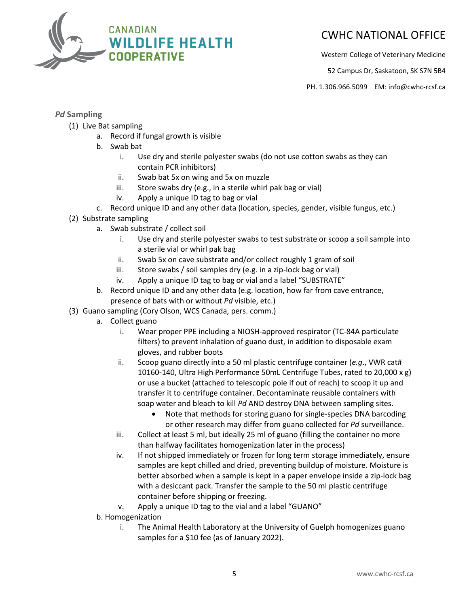

Western College of Veterinary Medicine

52 Campus Dr, Saskatoon, SK S7N 5B4

PH. 1.306.966.5099 EM: info@cwhc-rcsf.ca

#### *Pd* **Sampling**

- (1) Live Bat sampling
	- a. Record if fungal growth is visible
	- b. Swab bat
		- i. Use dry and sterile polyester swabs (do not use cotton swabs as they can contain PCR inhibitors)
		- ii. Swab bat 5x on wing and 5x on muzzle
		- iii. Store swabs dry (e.g., in a sterile whirl pak bag or vial)
		- iv. Apply a unique ID tag to bag or vial
	- c. Record unique ID and any other data (location, species, gender, visible fungus, etc.)
- (2) Substrate sampling
	- a. Swab substrate / collect soil
		- i. Use dry and sterile polyester swabs to test substrate or scoop a soil sample into a sterile vial or whirl pak bag
		- ii. Swab 5x on cave substrate and/or collect roughly 1 gram of soil
		- iii. Store swabs / soil samples dry (e.g. in a zip-lock bag or vial)
		- iv. Apply a unique ID tag to bag or vial and a label "SUBSTRATE"
	- b. Record unique ID and any other data (e.g. location, how far from cave entrance, presence of bats with or without *Pd* visible, etc.)
- (3) Guano sampling (Cory Olson, WCS Canada, pers. comm.)
	- a. Collect guano
		- i. Wear proper PPE including a NIOSH-approved respirator (TC-84A particulate filters) to prevent inhalation of guano dust, in addition to disposable exam gloves, and rubber boots
		- ii. Scoop guano directly into a 50 ml plastic centrifuge container (*e.g*., VWR cat# 10160-140, Ultra High Performance 50mL Centrifuge Tubes, rated to 20,000 x g) or use a bucket (attached to telescopic pole if out of reach) to scoop it up and transfer it to centrifuge container. Decontaminate reusable containers with soap water and bleach to kill *Pd* AND destroy DNA between sampling sites.
			- Note that methods for storing guano for single-species DNA barcoding or other research may differ from guano collected for *Pd* surveillance.
		- iii. Collect at least 5 ml, but ideally 25 ml of guano (filling the container no more than halfway facilitates homogenization later in the process)
		- iv. If not shipped immediately or frozen for long term storage immediately, ensure samples are kept chilled and dried, preventing buildup of moisture. Moisture is better absorbed when a sample is kept in a paper envelope inside a zip-lock bag with a desiccant pack. Transfer the sample to the 50 ml plastic centrifuge container before shipping or freezing.
		- v. Apply a unique ID tag to the vial and a label "GUANO"
	- b. Homogenization
		- i. The Animal Health Laboratory at the University of Guelph homogenizes guano samples for a \$10 fee (as of January 2022).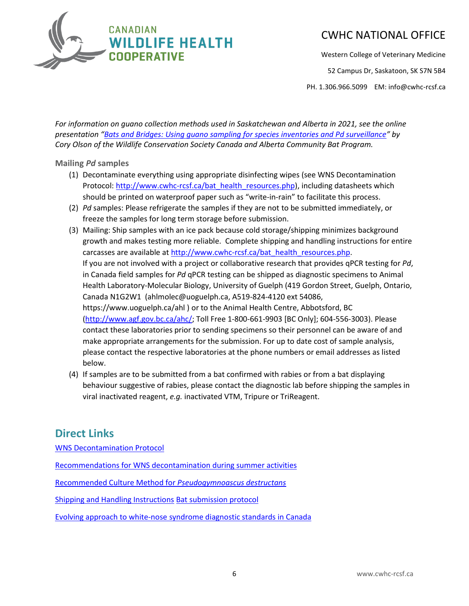

Western College of Veterinary Medicine

52 Campus Dr, Saskatoon, SK S7N 5B4

PH. 1.306.966.5099 EM: info@cwhc-rcsf.ca

*For information on guano collection methods used in Saskatchewan and Alberta in 2021, see the online presentation "[Bats and Bridges: Using guano sampling for species inventories and Pd surveillance](https://youtu.be/eMN9TEVWdyM)" by Cory Olson of the Wildlife Conservation Society Canada and Alberta Community Bat Program.* 

#### **Mailing** *Pd* **samples**

- (1) Decontaminate everything using appropriate disinfecting wipes (see WNS Decontamination Protocol: [http://www.cwhc-rcsf.ca/bat\\_health\\_resources.php\)](http://www.cwhc-rcsf.ca/bat_health_resources.php), including datasheets which should be printed on waterproof paper such as "write-in-rain" to facilitate this process.
- (2) *Pd* samples: Please refrigerate the samples if they are not to be submitted immediately, or freeze the samples for long term storage before submission.
- (3) Mailing: Ship samples with an ice pack because cold storage/shipping minimizes background growth and makes testing more reliable. Complete shipping and handling instructions for entire carcasses are available at [http://www.cwhc-rcsf.ca/bat\\_health\\_resources.php.](http://www.cwhc-rcsf.ca/bat_health_resources.php) If you are not involved with a project or collaborative research that provides qPCR testing for *Pd*, in Canada field samples for *Pd* qPCR testing can be shipped as diagnostic specimens to Animal Health Laboratory-Molecular Biology, University of Guelph (419 Gordon Street, Guelph, Ontario, Canada N1G2W1 (ahlmolec@uoguelph.ca, A519-824-4120 ext 54086, https://www.uoguelph.ca/ahl ) or to the Animal Health Centre, Abbotsford, BC [\(http://www.agf.gov.bc.ca/ahc/;](http://www.agf.gov.bc.ca/ahc/) Toll Free 1-800-661-9903 [BC Only]; 604-556-3003). Please contact these laboratories prior to sending specimens so their personnel can be aware of and make appropriate arrangements for the submission. For up to date cost of sample analysis, please contact the respective laboratories at the phone numbers or email addresses as listed below.
- (4) If samples are to be submitted from a bat confirmed with rabies or from a bat displaying behaviour suggestive of rabies, please contact the diagnostic lab before shipping the samples in viral inactivated reagent, *e.g.* inactivated VTM, Tripure or TriReagent.

#### **Direct Links**

[WNS Decontamination Protocol](http://www.cwhc-rcsf.ca/docs/WNS_Decontamination_Protocol-Mar2017.pdf)

[Recommendations for WNS decontamination during summer activities](http://www.cwhc-rcsf.ca/docs/miscellaneous/Recommendations%20for%20WNS%20decontamination%20during%20summer%20activities.pdf)

[Recommended Culture Method for](http://www.cwhc-rcsf.ca/docs/Recommended%20Culture%20Method%20for%20P.destructans.pdf) *Pseudogymnoascus destructans*

[Shipping and Handling Instructions](http://www.cwhc-rcsf.ca/docs/CWHC%20Shipping%20and%20Handling%20Instructions.pdf) [Bat submission protocol](http://www.cwhc-rcsf.ca/docs/WNS_Specimen_Submission_Protocol.pdf)

Evolving approach to white-nose [syndrome diagnostic standards in Canada](http://www.cwhc-rcsf.ca/docs/miscellaneous/Evolving%20approach%20to%20WNS%20diagnostic%20standards%20in%20Canada.pdf)